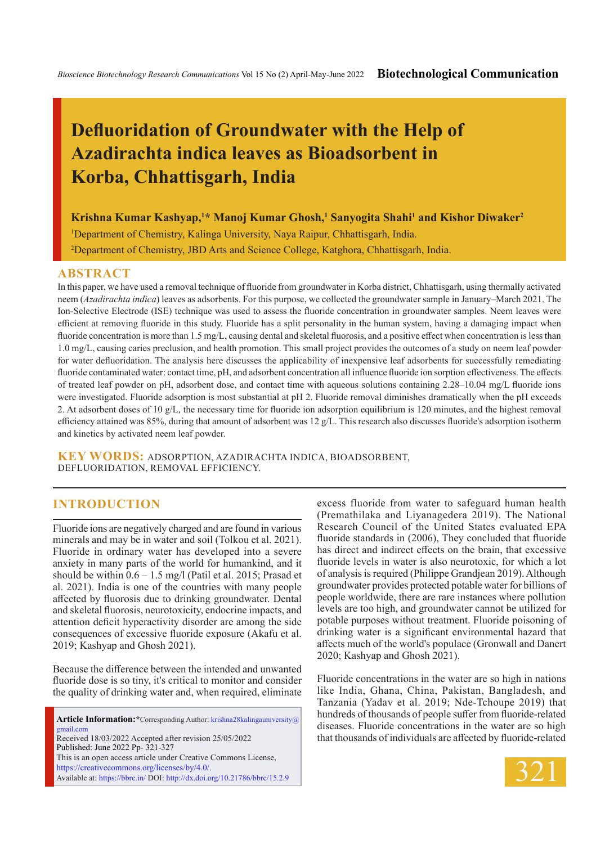# **Defluoridation of Groundwater with the Help of Azadirachta indica leaves as Bioadsorbent in Korba, Chhattisgarh, India**

**Krishna Kumar Kashyap,<sup>1</sup> \* Manoj Kumar Ghosh,<sup>1</sup> Sanyogita Shahi<sup>1</sup> and Kishor Diwaker<sup>2</sup>**

1 Department of Chemistry, Kalinga University, Naya Raipur, Chhattisgarh, India.

2 Department of Chemistry, JBD Arts and Science College, Katghora, Chhattisgarh, India.

#### **ABSTRACT**

In this paper, we have used a removal technique of fluoride from groundwater in Korba district, Chhattisgarh, using thermally activated neem (*Azadirachta indica*) leaves as adsorbents. For this purpose, we collected the groundwater sample in January–March 2021. The Ion-Selective Electrode (ISE) technique was used to assess the fluoride concentration in groundwater samples. Neem leaves were efficient at removing fluoride in this study. Fluoride has a split personality in the human system, having a damaging impact when fluoride concentration is more than 1.5 mg/L, causing dental and skeletal fluorosis, and a positive effect when concentration is less than 1.0 mg/L, causing caries preclusion, and health promotion. This small project provides the outcomes of a study on neem leaf powder for water defluoridation. The analysis here discusses the applicability of inexpensive leaf adsorbents for successfully remediating fluoride contaminated water: contact time, pH, and adsorbent concentration all influence fluoride ion sorption effectiveness. The effects of treated leaf powder on pH, adsorbent dose, and contact time with aqueous solutions containing 2.28–10.04 mg/L fluoride ions were investigated. Fluoride adsorption is most substantial at pH 2. Fluoride removal diminishes dramatically when the pH exceeds 2. At adsorbent doses of 10 g/L, the necessary time for fluoride ion adsorption equilibrium is 120 minutes, and the highest removal efficiency attained was 85%, during that amount of adsorbent was 12 g/L. This research also discusses fluoride's adsorption isotherm and kinetics by activated neem leaf powder.

**KEY WORDS:** Adsorption, Azadirachta indica, Bioadsorbent, Defluoridation, Removal efficiency.

## **INTRODUCTION**

Fluoride ions are negatively charged and are found in various minerals and may be in water and soil (Tolkou et al. 2021). Fluoride in ordinary water has developed into a severe anxiety in many parts of the world for humankind, and it should be within  $0.6 - 1.5$  mg/l (Patil et al. 2015; Prasad et al. 2021). India is one of the countries with many people affected by fluorosis due to drinking groundwater. Dental and skeletal fluorosis, neurotoxicity, endocrine impacts, and attention deficit hyperactivity disorder are among the side consequences of excessive fluoride exposure (Akafu et al. 2019; Kashyap and Ghosh 2021).

Because the difference between the intended and unwanted fluoride dose is so tiny, it's critical to monitor and consider the quality of drinking water and, when required, eliminate

**Article Information:\***Corresponding Author: krishna28kalingauniversity@ gmail.com Received 18/03/2022 Accepted after revision 25/05/2022 Published: June 2022 Pp- 321-327 This is an open access article under Creative Commons License, https://creativecommons.org/licenses/by/4.0/. Available at: https://bbrc.in/ DOI: http://dx.doi.org/10.21786/bbrc/15.2.9

excess fluoride from water to safeguard human health (Premathilaka and Liyanagedera 2019). The National Research Council of the United States evaluated EPA fluoride standards in (2006), They concluded that fluoride has direct and indirect effects on the brain, that excessive fluoride levels in water is also neurotoxic, for which a lot of analysis is required (Philippe Grandjean 2019). Although groundwater provides protected potable water for billions of people worldwide, there are rare instances where pollution levels are too high, and groundwater cannot be utilized for potable purposes without treatment. Fluoride poisoning of drinking water is a significant environmental hazard that affects much of the world's populace (Gronwall and Danert 2020; Kashyap and Ghosh 2021).

Fluoride concentrations in the water are so high in nations like India, Ghana, China, Pakistan, Bangladesh, and Tanzania (Yadav et al. 2019; Nde-Tchoupe 2019) that hundreds of thousands of people suffer from fluoride-related diseases. Fluoride concentrations in the water are so high that thousands of individuals are affected by fluoride-related

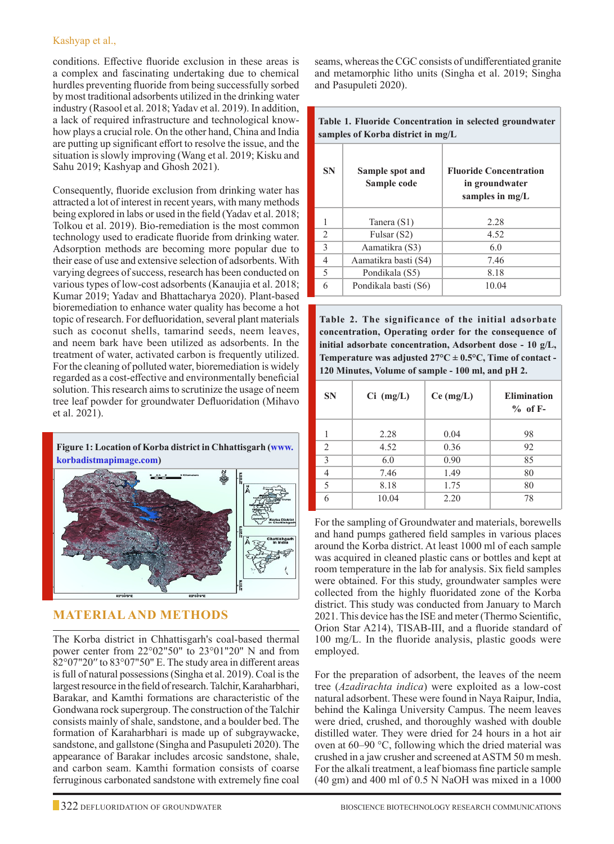conditions. Effective fluoride exclusion in these areas is a complex and fascinating undertaking due to chemical hurdles preventing fluoride from being successfully sorbed by most traditional adsorbents utilized in the drinking water industry (Rasool et al. 2018; Yadav et al. 2019). In addition, a lack of required infrastructure and technological knowhow plays a crucial role. On the other hand, China and India are putting up significant effort to resolve the issue, and the situation is slowly improving (Wang et al. 2019; Kisku and Sahu 2019; Kashyap and Ghosh 2021).

Consequently, fluoride exclusion from drinking water has attracted a lot of interest in recent years, with many methods being explored in labs or used in the field (Yadav et al. 2018; Tolkou et al. 2019). Bio-remediation is the most common technology used to eradicate fluoride from drinking water. Adsorption methods are becoming more popular due to their ease of use and extensive selection of adsorbents. With varying degrees of success, research has been conducted on various types of low-cost adsorbents (Kanaujia et al. 2018; Kumar 2019; Yadav and Bhattacharya 2020). Plant-based bioremediation to enhance water quality has become a hot topic of research. For defluoridation, several plant materials such as coconut shells, tamarind seeds, neem leaves, and neem bark have been utilized as adsorbents. In the treatment of water, activated carbon is frequently utilized. For the cleaning of polluted water, bioremediation is widely regarded as a cost-effective and environmentally beneficial solution. This research aims to scrutinize the usage of neem tree leaf powder for groundwater Defluoridation (Mihavo et al. 2021).

**Figure 1: Location of Korba district in Chhattisgarh (www. korbadistmapimage.com)**



# **MATERIAL AND METHODS**

The Korba district in Chhattisgarh's coal-based thermal power center from 22°02"50" to 23°01"20" N and from 82°07"20′′ to 83°07"50" E. The study area in different areas is full of natural possessions (Singha et al. 2019). Coal is the largest resource in the field of research. Talchir, Karaharbhari, Barakar, and Kamthi formations are characteristic of the Gondwana rock supergroup. The construction of the Talchir consists mainly of shale, sandstone, and a boulder bed. The formation of Karaharbhari is made up of subgraywacke, sandstone, and gallstone (Singha and Pasupuleti 2020). The appearance of Barakar includes arcosic sandstone, shale, and carbon seam. Kamthi formation consists of coarse ferruginous carbonated sandstone with extremely fine coal seams, whereas the CGC consists of undifferentiated granite and metamorphic litho units (Singha et al. 2019; Singha and Pasupuleti 2020).

**Table 1. Fluoride Concentration in selected groundwater samples of Korba district in mg/L**

| <b>SN</b>      | Sample spot and<br>Sample code | <b>Fluoride Concentration</b><br>in groundwater<br>samples in $mg/L$ |
|----------------|--------------------------------|----------------------------------------------------------------------|
|                | Tanera (S1)                    | 2.28                                                                 |
| $\overline{2}$ | Fulsar (S2)                    | 4.52                                                                 |
| $\mathcal{E}$  | Aamatikra (S3)                 | 6.0                                                                  |
| 4              | Aamatikra basti (S4)           | 7.46                                                                 |
| 5              | Pondikala (S5)                 | 8.18                                                                 |
| 6              | Pondikala basti (S6)           | 10.04                                                                |

**Table 2. The significance of the initial adsorbate concentration, Operating order for the consequence of initial adsorbate concentration, Adsorbent dose - 10 g/L, Temperature was adjusted**  $27^{\circ}C \pm 0.5^{\circ}C$ **, Time of contact -120 Minutes, Volume of sample - 100 ml, and pH 2.**

| <b>SN</b>                | $Ci$ (mg/L) | $Ce$ (mg/L) | <b>Elimination</b><br>$%$ of F- |
|--------------------------|-------------|-------------|---------------------------------|
|                          | 2.28        | 0.04        | 98                              |
| $\mathfrak{D}$           | 4.52        | 0.36        | 92                              |
| 3                        | 6.0         | 0.90        | 85                              |
|                          | 7.46        | 1.49        | 80                              |
| $\overline{\phantom{0}}$ | 8.18        | 1.75        | 80                              |
|                          | 10.04       | 2.20        | 78                              |

For the sampling of Groundwater and materials, borewells and hand pumps gathered field samples in various places around the Korba district. At least 1000 ml of each sample was acquired in cleaned plastic cans or bottles and kept at room temperature in the lab for analysis. Six field samples were obtained. For this study, groundwater samples were collected from the highly fluoridated zone of the Korba district. This study was conducted from January to March 2021. This device has the ISE and meter (Thermo Scientific, Orion Star A214), TISAB-III, and a fluoride standard of 100 mg/L. In the fluoride analysis, plastic goods were employed.

For the preparation of adsorbent, the leaves of the neem tree (*Azadirachta indica*) were exploited as a low-cost natural adsorbent. These were found in Naya Raipur, India, behind the Kalinga University Campus. The neem leaves were dried, crushed, and thoroughly washed with double distilled water. They were dried for 24 hours in a hot air oven at 60–90 °C, following which the dried material was crushed in a jaw crusher and screened at ASTM 50 m mesh. For the alkali treatment, a leaf biomass fine particle sample (40 gm) and 400 ml of 0.5 N NaOH was mixed in a 1000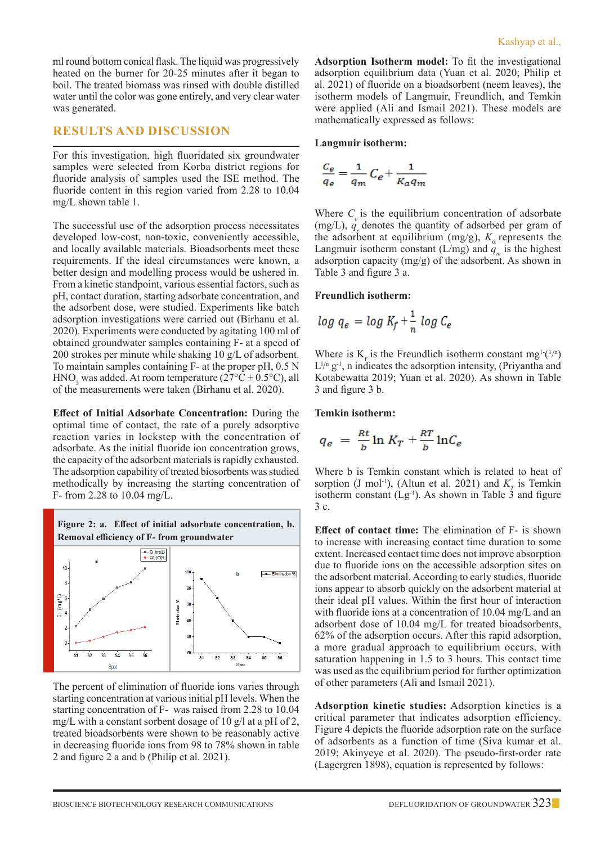ml round bottom conical flask. The liquid was progressively heated on the burner for 20-25 minutes after it began to boil. The treated biomass was rinsed with double distilled water until the color was gone entirely, and very clear water was generated.

## **RESULTS AND DISCUSSION**

For this investigation, high fluoridated six groundwater samples were selected from Korba district regions for fluoride analysis of samples used the ISE method. The fluoride content in this region varied from 2.28 to 10.04 mg/L shown table 1.

The successful use of the adsorption process necessitates developed low-cost, non-toxic, conveniently accessible, and locally available materials. Bioadsorbents meet these requirements. If the ideal circumstances were known, a better design and modelling process would be ushered in. From a kinetic standpoint, various essential factors, such as pH, contact duration, starting adsorbate concentration, and the adsorbent dose, were studied. Experiments like batch adsorption investigations were carried out (Birhanu et al. 2020). Experiments were conducted by agitating 100 ml of obtained groundwater samples containing F- at a speed of 200 strokes per minute while shaking 10 g/L of adsorbent. To maintain samples containing F- at the proper pH, 0.5 N  $HNO<sub>3</sub>$  was added. At room temperature (27°C  $\pm$  0.5°C), all of the measurements were taken (Birhanu et al. 2020).

**Effect of Initial Adsorbate Concentration:** During the optimal time of contact, the rate of a purely adsorptive reaction varies in lockstep with the concentration of adsorbate. As the initial fluoride ion concentration grows, the capacity of the adsorbent materials is rapidly exhausted. The adsorption capability of treated biosorbents was studied methodically by increasing the starting concentration of F- from 2.28 to 10.04 mg/L.



The percent of elimination of fluoride ions varies through starting concentration at various initial pH levels. When the starting concentration of F- was raised from 2.28 to 10.04 mg/L with a constant sorbent dosage of 10 g/l at a pH of 2, treated bioadsorbents were shown to be reasonably active in decreasing fluoride ions from 98 to 78% shown in table 2 and figure 2 a and b (Philip et al. 2021).

**Adsorption Isotherm model:** To fit the investigational adsorption equilibrium data (Yuan et al. 2020; Philip et al. 2021) of fluoride on a bioadsorbent (neem leaves), the isotherm models of Langmuir, Freundlich, and Temkin were applied (Ali and Ismail 2021). These models are mathematically expressed as follows:

#### **Langmuir isotherm:**

$$
\frac{\mathit{C}_{e}}{\mathit{q}_{e}}=\frac{1}{\mathit{q}_{m}}\mathit{C}_{e}+\frac{1}{\mathit{K}_{a}\mathit{q}_{m}}
$$

Where  $C_{\rho}$  is the equilibrium concentration of adsorbate (mg/L),  $q_e$  denotes the quantity of adsorbed per gram of the adsorbent at equilibrium  $(mg/g)$ ,  $K_a$  represents the Langmuir isotherm constant (L/mg) and  $q_m$  is the highest adsorption capacity (mg/g) of the adsorbent. As shown in Table 3 and figure 3 a.

#### **Freundlich isotherm:**

$$
log\ q_e = log\ K_f + \frac{1}{n}\ log\ \mathcal{C}_e
$$

Where is  $K_f$  is the Freundlich isotherm constant mg<sup>1-(1/n</sup>)  $L^{1/n}$  g<sup>-1</sup>, n indicates the adsorption intensity, (Priyantha and Kotabewatta 2019; Yuan et al. 2020). As shown in Table 3 and figure 3 b.

#### **Temkin isotherm:**

$$
q_e = \frac{Rt}{b} \ln K_T + \frac{RT}{b} \ln C_e
$$

Where b is Temkin constant which is related to heat of sorption (J mol<sup>-1</sup>), (Altun et al. 2021) and  $K<sub>T</sub>$  is Temkin isotherm constant  $(Lg^{-1})$ . As shown in Table 3 and figure 3 c.

**Effect of contact time:** The elimination of F- is shown to increase with increasing contact time duration to some extent. Increased contact time does not improve absorption due to fluoride ions on the accessible adsorption sites on the adsorbent material. According to early studies, fluoride ions appear to absorb quickly on the adsorbent material at their ideal pH values. Within the first hour of interaction with fluoride ions at a concentration of 10.04 mg/L and an adsorbent dose of 10.04 mg/L for treated bioadsorbents, 62% of the adsorption occurs. After this rapid adsorption, a more gradual approach to equilibrium occurs, with saturation happening in 1.5 to 3 hours. This contact time was used as the equilibrium period for further optimization of other parameters (Ali and Ismail 2021).

**Adsorption kinetic studies:** Adsorption kinetics is a critical parameter that indicates adsorption efficiency. Figure 4 depicts the fluoride adsorption rate on the surface of adsorbents as a function of time (Siva kumar et al. 2019; Akinyeye et al. 2020). The pseudo-first-order rate (Lagergren 1898), equation is represented by follows: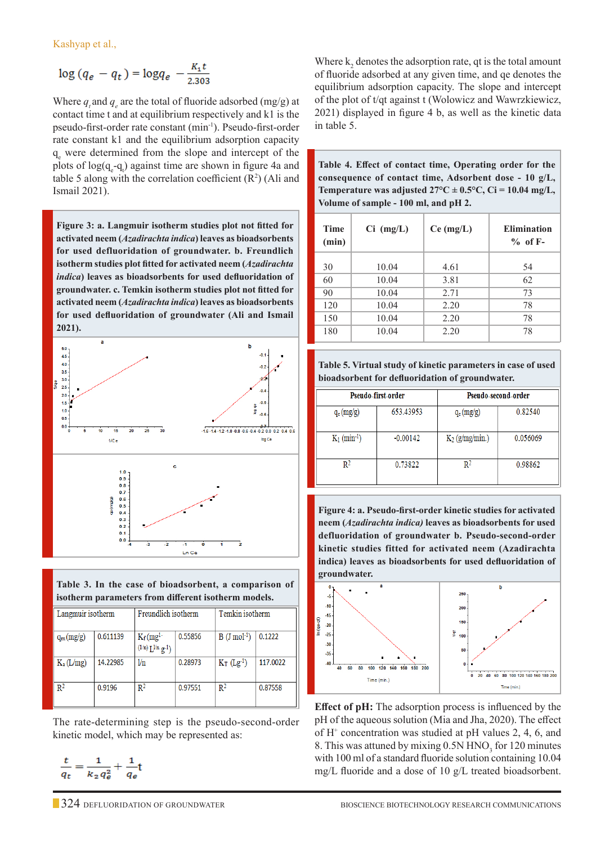Kashyap et al.,

$$
\log\left(q_e - q_t\right) = \log q_e - \frac{K_1 t}{2.303}
$$

Where  $q_i$  and  $q_e$  are the total of fluoride adsorbed (mg/g) at contact time t and at equilibrium respectively and k1 is the pseudo-first-order rate constant (min-1). Pseudo-first-order rate constant k1 and the equilibrium adsorption capacity q<sub>e</sub> were determined from the slope and intercept of the plots of  $log(q_{e} - q_{t})$  against time are shown in figure 4a and table 5 along with the correlation coefficient  $(R^2)$  (Ali and Ismail 2021).

**Figure 3: a. Langmuir isotherm studies plot not fitted for activated neem (***Azadirachta indica***) leaves as bioadsorbents for used defluoridation of groundwater. b. Freundlich isotherm studies plot fitted for activated neem (***Azadirachta indica***) leaves as bioadsorbents for used defluoridation of groundwater. c. Temkin isotherm studies plot not fitted for activated neem (***Azadirachta indica***) leaves as bioadsorbents for used defluoridation of groundwater (Ali and Ismail 2021).**



**Table 3. In the case of bioadsorbent, a comparison of isotherm parameters from different isotherm models.**

| Langmuir isotherm |          | Freundlich isotherm                               |         | Temkin isotherm            |          |
|-------------------|----------|---------------------------------------------------|---------|----------------------------|----------|
| $q_m(mg/g)$       | 0.611139 | $K_f$ (mg <sup>1-</sup><br>$(1/n) L^{1/n} g^{-1}$ | 0.55856 | $B$ (J mol <sup>-1</sup> ) | 0.1222   |
| $K_a(L/mg)$       | 14.22985 | 1/n                                               | 0.28973 | $K_T$ (Lg <sup>-1</sup> )  | 117.0022 |
| R <sup>2</sup>    | 0.9196   | R <sup>2</sup>                                    | 0.97551 | R <sup>2</sup>             | 0.87558  |

The rate-determining step is the pseudo-second-order kinetic model, which may be represented as:

 $\frac{t}{q_t} = \frac{1}{k_2 q_e^2} + \frac{1}{q_e}t$ 

Where  $k_2$  denotes the adsorption rate, qt is the total amount of fluoride adsorbed at any given time, and qe denotes the equilibrium adsorption capacity. The slope and intercept of the plot of t/qt against t (Wolowicz and Wawrzkiewicz, 2021) displayed in figure 4 b, as well as the kinetic data in table 5.

**Table 4. Effect of contact time, Operating order for the consequence of contact time, Adsorbent dose - 10 g/L, Temperature was adjusted**  $27^{\circ}C \pm 0.5^{\circ}C$ **,**  $Ci = 10.04$  **mg/L, Volume of sample - 100 ml, and pH 2.**

| <b>Time</b><br>(min) | $Ci$ (mg/L) | $Ce$ (mg/L) | <b>Elimination</b><br>$%$ of F- |
|----------------------|-------------|-------------|---------------------------------|
|                      |             |             |                                 |
| 30                   | 10.04       | 4.61        | 54                              |
| 60                   | 10.04       | 3.81        | 62                              |
| 90                   | 10.04       | 2.71        | 73                              |
| 120                  | 10.04       | 2.20        | 78                              |
| 150                  | 10.04       | 2.20        | 78                              |
| 180                  | 10.04       | 2.20        | 78                              |
|                      |             |             |                                 |

**Table 5. Virtual study of kinetic parameters in case of used bioadsorbent for defluoridation of groundwater.**

| Pseudo-first-order         |            | Pseudo-second-order |          |  |
|----------------------------|------------|---------------------|----------|--|
| $q_e (mg/g)$               | 653.43953  | $q_e (mg/g)$        | 0.82540  |  |
| $K_1$ (min <sup>-1</sup> ) | $-0.00142$ | $K_2$ (g/mg/min.)   | 0.056069 |  |
| $\mathbb{R}^2$             | 0.73822    | R2                  | 0.98862  |  |

**Figure 4: a. Pseudo-first-order kinetic studies for activated neem (***Azadirachta indica)* **leaves as bioadsorbents for used defluoridation of groundwater b. Pseudo-second-order kinetic studies fitted for activated neem (Azadirachta indica) leaves as bioadsorbents for used defluoridation of groundwater.**



**Effect of pH:** The adsorption process is influenced by the pH of the aqueous solution (Mia and Jha, 2020). The effect of H<sup>+</sup> concentration was studied at pH values 2, 4, 6, and 8. This was attuned by mixing  $0.5N HNO<sub>3</sub>$  for 120 minutes with 100 ml of a standard fluoride solution containing 10.04 mg/L fluoride and a dose of 10 g/L treated bioadsorbent.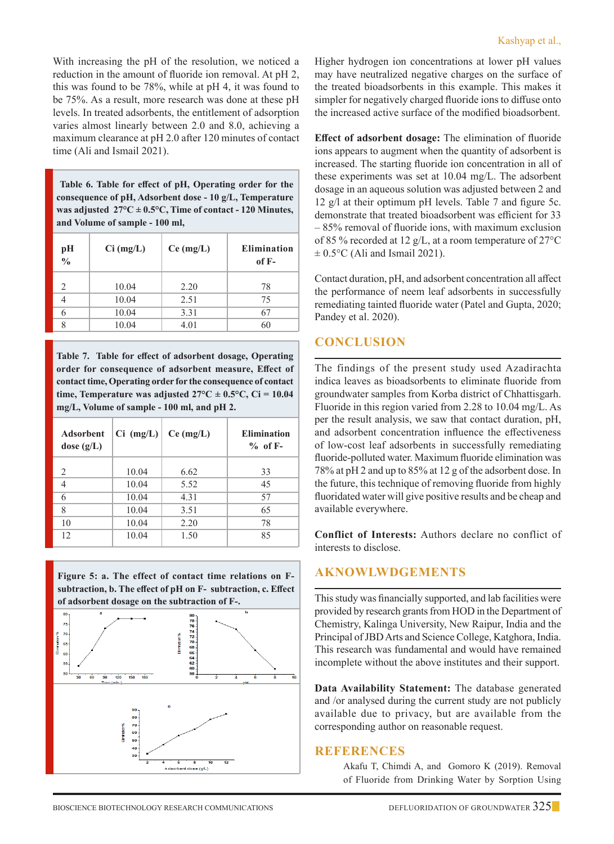With increasing the pH of the resolution, we noticed a reduction in the amount of fluoride ion removal. At pH 2, this was found to be 78%, while at pH 4, it was found to be 75%. As a result, more research was done at these pH levels. In treated adsorbents, the entitlement of adsorption varies almost linearly between 2.0 and 8.0, achieving a maximum clearance at pH 2.0 after 120 minutes of contact time (Ali and Ismail 2021).

 **Table 6. Table for effect of pH, Operating order for the consequence of pH, Adsorbent dose - 10 g/L, Temperature was adjusted 27°C ± 0.5°C, Time of contact - 120 Minutes, and Volume of sample - 100 ml,**

| pН<br>$\frac{1}{2}$ | $Ci$ (mg/L) | Ce (mg/L) | <b>Elimination</b><br>of $F-$ |
|---------------------|-------------|-----------|-------------------------------|
|                     | 10.04       | 2.20      | 78                            |
|                     | 10.04       | 2.51      | 75                            |
|                     | 10.04       | 3.31      | 67                            |
|                     | 10.04       | 4.01      | 60                            |

**Table 7. Table for effect of adsorbent dosage, Operating order for consequence of adsorbent measure, Effect of contact time, Operating order for the consequence of contact**  time, Temperature was adjusted  $27^{\circ}C \pm 0.5^{\circ}C$ , Ci = 10.04 **mg/L, Volume of sample - 100 ml, and pH 2.**

| <b>Adsorbent</b><br>dose $(g/L)$ | $Ci$ (mg/L) | $Ce$ (mg/L) | <b>Elimination</b><br>$%$ of F- |
|----------------------------------|-------------|-------------|---------------------------------|
|                                  |             |             |                                 |
| 2                                | 10.04       | 6.62        | 33                              |
|                                  | 10.04       | 5.52        | 45                              |
| 6                                | 10.04       | 4.31        | 57                              |
| 8                                | 10.04       | 3.51        | 65                              |
| 10                               | 10.04       | 2.20        | 78                              |
| 12                               | 10.04       | 1.50        | 85                              |
|                                  |             |             |                                 |

**Figure 5: a. The effect of contact time relations on Fsubtraction, b. The effect of pH on F- subtraction, c. Effect of adsorbent dosage on the subtraction of F-.**



Higher hydrogen ion concentrations at lower pH values may have neutralized negative charges on the surface of the treated bioadsorbents in this example. This makes it simpler for negatively charged fluoride ions to diffuse onto the increased active surface of the modified bioadsorbent.

**Effect of adsorbent dosage:** The elimination of fluoride ions appears to augment when the quantity of adsorbent is increased. The starting fluoride ion concentration in all of these experiments was set at 10.04 mg/L. The adsorbent dosage in an aqueous solution was adjusted between 2 and 12 g/l at their optimum pH levels. Table 7 and figure 5c. demonstrate that treated bioadsorbent was efficient for 33 – 85% removal of fluoride ions, with maximum exclusion of 85 % recorded at 12 g/L, at a room temperature of 27°C  $\pm$  0.5°C (Ali and Ismail 2021).

Contact duration, pH, and adsorbent concentration all affect the performance of neem leaf adsorbents in successfully remediating tainted fluoride water (Patel and Gupta, 2020; Pandey et al. 2020).

## **CONCLUSION**

The findings of the present study used Azadirachta indica leaves as bioadsorbents to eliminate fluoride from groundwater samples from Korba district of Chhattisgarh. Fluoride in this region varied from 2.28 to 10.04 mg/L. As per the result analysis, we saw that contact duration, pH, and adsorbent concentration influence the effectiveness of low-cost leaf adsorbents in successfully remediating fluoride-polluted water. Maximum fluoride elimination was 78% at pH 2 and up to 85% at 12 g of the adsorbent dose. In the future, this technique of removing fluoride from highly fluoridated water will give positive results and be cheap and available everywhere.

**Conflict of Interests:** Authors declare no conflict of interests to disclose.

# **AKNOWLWDGEMENTS**

This study was financially supported, and lab facilities were provided by research grants from HOD in the Department of Chemistry, Kalinga University, New Raipur, India and the Principal of JBD Arts and Science College, Katghora, India. This research was fundamental and would have remained incomplete without the above institutes and their support.

**Data Availability Statement:** The database generated and /or analysed during the current study are not publicly available due to privacy, but are available from the corresponding author on reasonable request.

#### **REFERENCES**

Akafu T, Chimdi A, and Gomoro K (2019). Removal of Fluoride from Drinking Water by Sorption Using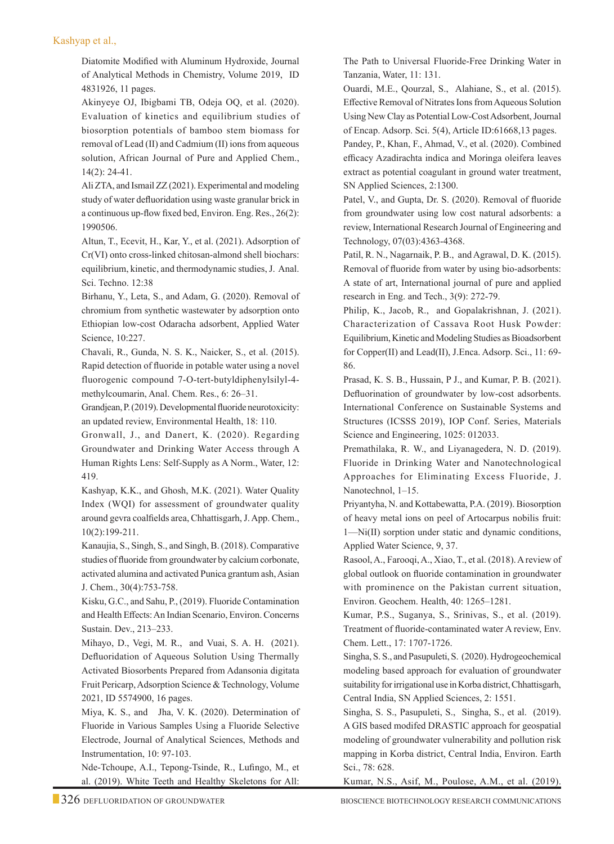#### Kashyap et al.,

Diatomite Modified with Aluminum Hydroxide, Journal of Analytical Methods in Chemistry, Volume 2019, ID 4831926, 11 pages.

Akinyeye OJ, Ibigbami TB, Odeja OQ, et al. (2020). Evaluation of kinetics and equilibrium studies of biosorption potentials of bamboo stem biomass for removal of Lead (II) and Cadmium (II) ions from aqueous solution, African Journal of Pure and Applied Chem., 14(2): 24-41.

Ali ZTA, and Ismail ZZ (2021). Experimental and modeling study of water defluoridation using waste granular brick in a continuous up-flow fixed bed, Environ. Eng. Res., 26(2): 1990506.

Altun, T., Ecevit, H., Kar, Y., et al. (2021). Adsorption of Cr(VI) onto cross-linked chitosan-almond shell biochars: equilibrium, kinetic, and thermodynamic studies, J. Anal. Sci. Techno. 12:38

Birhanu, Y., Leta, S., and Adam, G. (2020). Removal of chromium from synthetic wastewater by adsorption onto Ethiopian low-cost Odaracha adsorbent, Applied Water Science, 10:227.

Chavali, R., Gunda, N. S. K., Naicker, S., et al. (2015). Rapid detection of fluoride in potable water using a novel fluorogenic compound 7-O-tert-butyldiphenylsilyl-4 methylcoumarin, Anal. Chem. Res., 6: 26–31.

Grandjean, P. (2019). Developmental fluoride neurotoxicity: an updated review, Environmental Health, 18: 110.

Gronwall, J., and Danert, K. (2020). Regarding Groundwater and Drinking Water Access through A Human Rights Lens: Self-Supply as A Norm., Water, 12: 419.

Kashyap, K.K., and Ghosh, M.K. (2021). Water Quality Index (WQI) for assessment of groundwater quality around gevra coalfields area, Chhattisgarh, J. App. Chem., 10(2):199-211.

Kanaujia, S., Singh, S., and Singh, B. (2018). Comparative studies of fluoride from groundwater by calcium corbonate, activated alumina and activated Punica grantum ash, Asian J. Chem., 30(4):753-758.

Kisku, G.C., and Sahu, P., (2019). Fluoride Contamination and Health Effects: An Indian Scenario, Environ. Concerns Sustain. Dev., 213–233.

Mihayo, D., Vegi, M. R., and Vuai, S. A. H. (2021). Defluoridation of Aqueous Solution Using Thermally Activated Biosorbents Prepared from Adansonia digitata Fruit Pericarp, Adsorption Science & Technology, Volume 2021, ID 5574900, 16 pages.

Miya, K. S., and Jha, V. K. (2020). Determination of Fluoride in Various Samples Using a Fluoride Selective Electrode, Journal of Analytical Sciences, Methods and Instrumentation, 10: 97-103.

Nde-Tchoupe, A.I., Tepong-Tsinde, R., Lufingo, M., et al. (2019). White Teeth and Healthy Skeletons for All:

The Path to Universal Fluoride-Free Drinking Water in Tanzania, Water, 11: 131.

 Ouardi, M.E., Qourzal, S., Alahiane, S., et al. (2015). Effective Removal of Nitrates Ions from Aqueous Solution Using New Clay as Potential Low-Cost Adsorbent, Journal of Encap. Adsorp. Sci. 5(4), Article ID:61668,13 pages.

 Pandey, P., Khan, F., Ahmad, V., et al. (2020). Combined efficacy Azadirachta indica and Moringa oleifera leaves extract as potential coagulant in ground water treatment, SN Applied Sciences, 2:1300.

 Patel, V., and Gupta, Dr. S. (2020). Removal of fluoride from groundwater using low cost natural adsorbents: a review, International Research Journal of Engineering and Technology, 07(03):4363-4368.

 Patil, R. N., Nagarnaik, P. B., and Agrawal, D. K. (2015). Removal of fluoride from water by using bio-adsorbents: A state of art, International journal of pure and applied research in Eng. and Tech., 3(9): 272-79.

 Philip, K., Jacob, R., and Gopalakrishnan, J. (2021). Characterization of Cassava Root Husk Powder: Equilibrium, Kinetic and Modeling Studies as Bioadsorbent for Copper(II) and Lead(II), J.Enca. Adsorp. Sci., 11: 69- 86.

 Prasad, K. S. B., Hussain, P J., and Kumar, P. B. (2021). Defluorination of groundwater by low-cost adsorbents. International Conference on Sustainable Systems and Structures (ICSSS 2019), IOP Conf. Series, Materials Science and Engineering, 1025: 012033.

 Premathilaka, R. W., and Liyanagedera, N. D. (2019). Fluoride in Drinking Water and Nanotechnological Approaches for Eliminating Excess Fluoride, J. Nanotechnol, 1–15.

 Priyantyha, N. and Kottabewatta, P.A. (2019). Biosorption of heavy metal ions on peel of Artocarpus nobilis fruit: 1—Ni(II) sorption under static and dynamic conditions, Applied Water Science, 9, 37.

 Rasool, A., Farooqi, A., Xiao, T., et al. (2018). A review of global outlook on fluoride contamination in groundwater with prominence on the Pakistan current situation, Environ. Geochem. Health, 40: 1265–1281.

Kumar, P.S., Suganya, S., Srinivas, S., et al. (2019). Treatment of fluoride-contaminated water A review, Env. Chem. Lett., 17: 1707-1726.

Singha, S. S., and Pasupuleti, S. (2020). Hydrogeochemical modeling based approach for evaluation of groundwater suitability for irrigational use in Korba district, Chhattisgarh, Central India, SN Applied Sciences, 2: 1551.

Singha, S. S., Pasupuleti, S., Singha, S., et al. (2019). A GIS based modifed DRASTIC approach for geospatial modeling of groundwater vulnerability and pollution risk mapping in Korba district, Central India, Environ. Earth Sci., 78: 628.

Kumar, N.S., Asif, M., Poulose, A.M., et al. (2019).